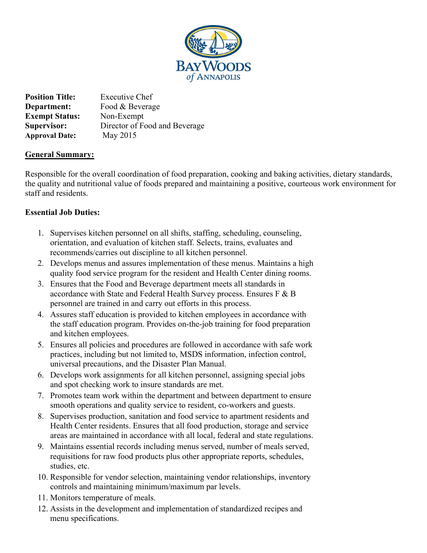

**Position Title:** Executive Chef **Department:** Food & Beverage **Exempt Status:** Non-Exempt **Supervisor:** Director of Food and Beverage **Approval Date:** May 2015

### **General Summary:**

Responsible for the overall coordination of food preparation, cooking and baking activities, dietary standards, the quality and nutritional value of foods prepared and maintaining a positive, courteous work environment for staff and residents.

## **Essential Job Duties:**

- 1. Supervises kitchen personnel on all shifts, staffing, scheduling, counseling, orientation, and evaluation of kitchen staff. Selects, trains, evaluates and recommends/carries out discipline to all kitchen personnel.
- 2. Develops menus and assures implementation of these menus. Maintains a high quality food service program for the resident and Health Center dining rooms.
- 3. Ensures that the Food and Beverage department meets all standards in accordance with State and Federal Health Survey process. Ensures F & B personnel are trained in and carry out efforts in this process.
- 4. Assures staff education is provided to kitchen employees in accordance with the staff education program. Provides on-the-job training for food preparation and kitchen employees.
- 5. Ensures all policies and procedures are followed in accordance with safe work practices, including but not limited to, MSDS information, infection control, universal precautions, and the Disaster Plan Manual.
- 6. Develops work assignments for all kitchen personnel, assigning special jobs and spot checking work to insure standards are met.
- 7. Promotes team work within the department and between department to ensure smooth operations and quality service to resident, co-workers and guests.
- 8. Supervises production, sanitation and food service to apartment residents and Health Center residents. Ensures that all food production, storage and service areas are maintained in accordance with all local, federal and state regulations.
- 9. Maintains essential records including menus served, number of meals served, requisitions for raw food products plus other appropriate reports, schedules, studies, etc.
- 10. Responsible for vendor selection, maintaining vendor relationships, inventory controls and maintaining minimum/maximum par levels.
- 11. Monitors temperature of meals.
- 12. Assists in the development and implementation of standardized recipes and menu specifications.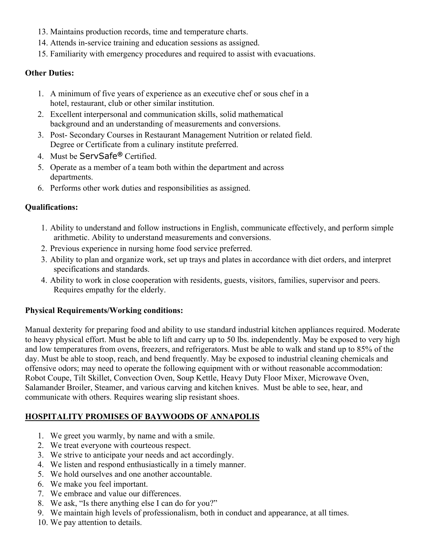- 13. Maintains production records, time and temperature charts.
- 14. Attends in-service training and education sessions as assigned.
- 15. Familiarity with emergency procedures and required to assist with evacuations.

### **Other Duties:**

- 1. A minimum of five years of experience as an executive chef or sous chef in a hotel, restaurant, club or other similar institution.
- 2. Excellent interpersonal and communication skills, solid mathematical background and an understanding of measurements and conversions.
- 3. Post- Secondary Courses in Restaurant Management Nutrition or related field. Degree or Certificate from a culinary institute preferred.
- 4. Must be ServSafe**®** Certified.
- 5. Operate as a member of a team both within the department and across departments.
- 6. Performs other work duties and responsibilities as assigned.

## **Qualifications:**

- 1. Ability to understand and follow instructions in English, communicate effectively, and perform simple arithmetic. Ability to understand measurements and conversions.
- 2. Previous experience in nursing home food service preferred.
- 3. Ability to plan and organize work, set up trays and plates in accordance with diet orders, and interpret specifications and standards.
- 4. Ability to work in close cooperation with residents, guests, visitors, families, supervisor and peers. Requires empathy for the elderly.

### **Physical Requirements/Working conditions:**

Manual dexterity for preparing food and ability to use standard industrial kitchen appliances required. Moderate to heavy physical effort. Must be able to lift and carry up to 50 lbs. independently. May be exposed to very high and low temperatures from ovens, freezers, and refrigerators. Must be able to walk and stand up to 85% of the day. Must be able to stoop, reach, and bend frequently. May be exposed to industrial cleaning chemicals and offensive odors; may need to operate the following equipment with or without reasonable accommodation: Robot Coupe, Tilt Skillet, Convection Oven, Soup Kettle, Heavy Duty Floor Mixer, Microwave Oven, Salamander Broiler, Steamer, and various carving and kitchen knives. Must be able to see, hear, and communicate with others. Requires wearing slip resistant shoes.

# **HOSPITALITY PROMISES OF BAYWOODS OF ANNAPOLIS**

- 1. We greet you warmly, by name and with a smile.
- 2. We treat everyone with courteous respect.
- 3. We strive to anticipate your needs and act accordingly.
- 4. We listen and respond enthusiastically in a timely manner.
- 5. We hold ourselves and one another accountable.
- 6. We make you feel important.
- 7. We embrace and value our differences.
- 8. We ask, "Is there anything else I can do for you?"
- 9. We maintain high levels of professionalism, both in conduct and appearance, at all times.
- 10. We pay attention to details.